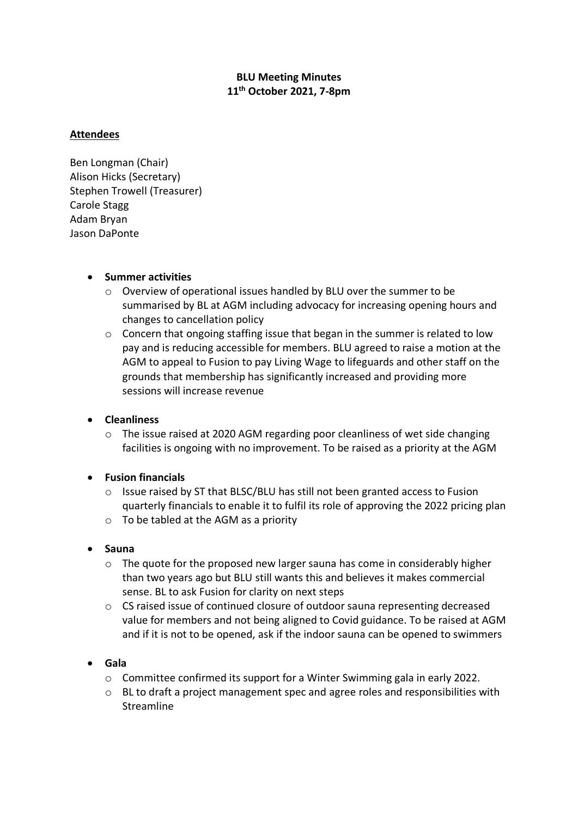# **BLU Meeting Minutes 11th October 2021, 7-8pm**

## **Attendees**

Ben Longman (Chair) Alison Hicks (Secretary) Stephen Trowell (Treasurer) Carole Stagg Adam Bryan Jason DaPonte

## • **Summer activities**

- o Overview of operational issues handled by BLU over the summer to be summarised by BL at AGM including advocacy for increasing opening hours and changes to cancellation policy
- o Concern that ongoing staffing issue that began in the summer is related to low pay and is reducing accessible for members. BLU agreed to raise a motion at the AGM to appeal to Fusion to pay Living Wage to lifeguards and other staff on the grounds that membership has significantly increased and providing more sessions will increase revenue

## • **Cleanliness**

o The issue raised at 2020 AGM regarding poor cleanliness of wet side changing facilities is ongoing with no improvement. To be raised as a priority at the AGM

## • **Fusion financials**

- o Issue raised by ST that BLSC/BLU has still not been granted access to Fusion quarterly financials to enable it to fulfil its role of approving the 2022 pricing plan
- $\circ$  To be tabled at the AGM as a priority

## • **Sauna**

- $\circ$  The quote for the proposed new larger sauna has come in considerably higher than two years ago but BLU still wants this and believes it makes commercial sense. BL to ask Fusion for clarity on next steps
- o CS raised issue of continued closure of outdoor sauna representing decreased value for members and not being aligned to Covid guidance. To be raised at AGM and if it is not to be opened, ask if the indoor sauna can be opened to swimmers

## • **Gala**

- o Committee confirmed its support for a Winter Swimming gala in early 2022.
- $\circ$  BL to draft a project management spec and agree roles and responsibilities with Streamline